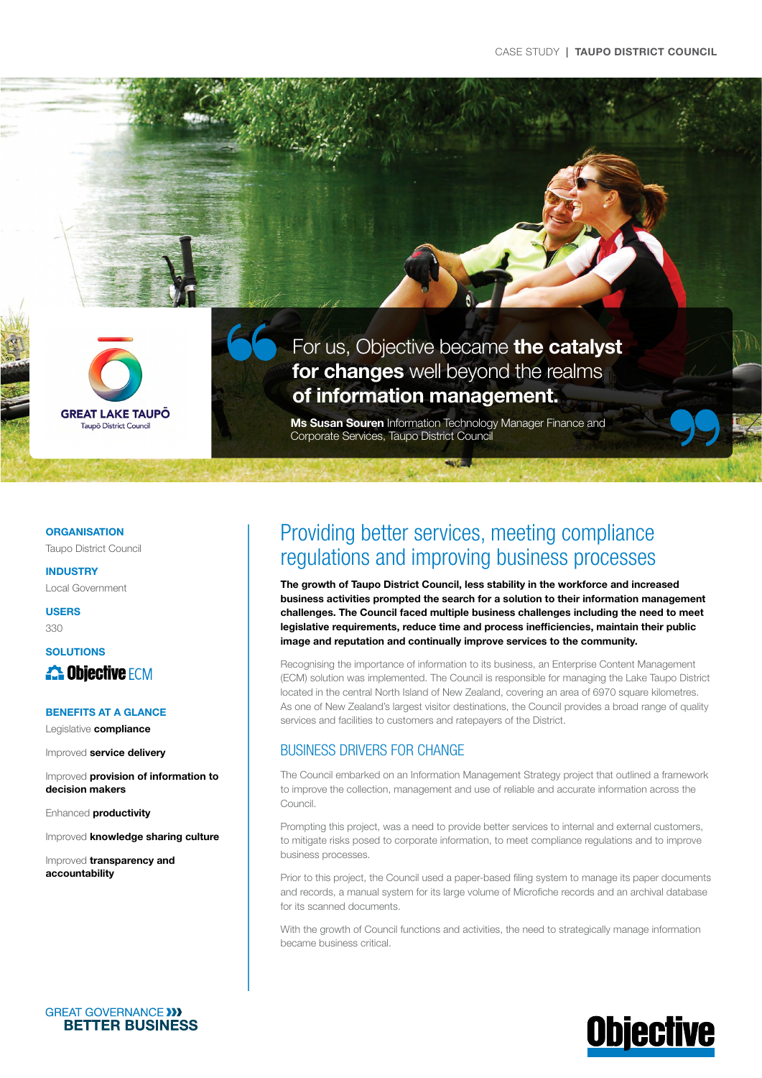

For us, Objective became the catalyst for changes well beyond the realms of information management.

Ms Susan Souren Information Technology Manager Finance and Corporate Services, Taupo District Council

 $\frac{1}{2}$ 

**ORGANISATION** 

Taupo District Council

INDUSTRY Local Government

USERS

330

## **SOLUTIONS 25 Objective FCM**

#### BENEFITS AT A GLANCE

Legislative compliance

Improved service delivery

Improved provision of information to decision makers

Enhanced productivity

Improved knowledge sharing culture

Improved transparency and accountability

## Providing better services, meeting compliance regulations and improving business processes

The growth of Taupo District Council, less stability in the workforce and increased business activities prompted the search for a solution to their information management challenges. The Council faced multiple business challenges including the need to meet legislative requirements, reduce time and process inefficiencies, maintain their public image and reputation and continually improve services to the community.

Recognising the importance of information to its business, an Enterprise Content Management (ECM) solution was implemented. The Council is responsible for managing the Lake Taupo District located in the central North Island of New Zealand, covering an area of 6970 square kilometres. As one of New Zealand's largest visitor destinations, the Council provides a broad range of quality services and facilities to customers and ratepayers of the District.

## BUSINESS DRIVERS FOR CHANGE

The Council embarked on an Information Management Strategy project that outlined a framework to improve the collection, management and use of reliable and accurate information across the Council.

Prompting this project, was a need to provide better services to internal and external customers, to mitigate risks posed to corporate information, to meet compliance regulations and to improve business processes.

Prior to this project, the Council used a paper-based filing system to manage its paper documents and records, a manual system for its large volume of Microfiche records and an archival database for its scanned documents.

With the growth of Council functions and activities, the need to strategically manage information became business critical.



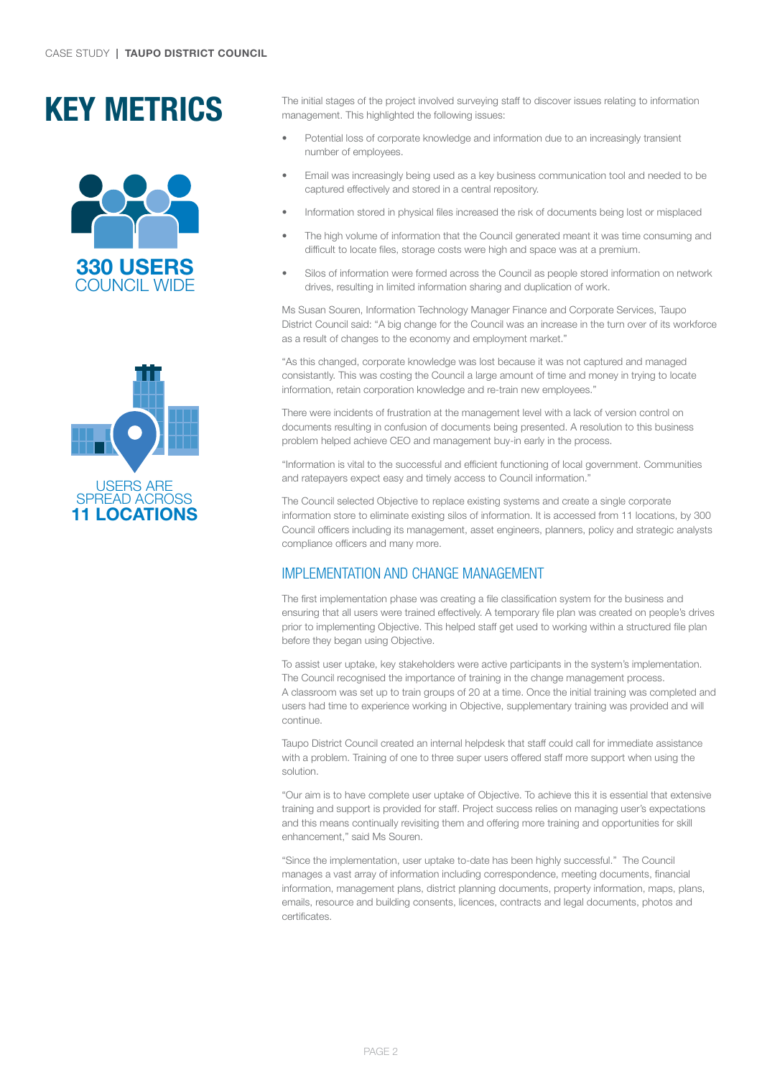# KEY METRICS





The initial stages of the project involved surveying staff to discover issues relating to information management. This highlighted the following issues:

- Potential loss of corporate knowledge and information due to an increasingly transient number of employees.
- Email was increasingly being used as a key business communication tool and needed to be captured effectively and stored in a central repository.
- Information stored in physical files increased the risk of documents being lost or misplaced
- The high volume of information that the Council generated meant it was time consuming and difficult to locate files, storage costs were high and space was at a premium.
- Silos of information were formed across the Council as people stored information on network drives, resulting in limited information sharing and duplication of work.

Ms Susan Souren, Information Technology Manager Finance and Corporate Services, Taupo District Council said: "A big change for the Council was an increase in the turn over of its workforce as a result of changes to the economy and employment market."

"As this changed, corporate knowledge was lost because it was not captured and managed consistantly. This was costing the Council a large amount of time and money in trying to locate information, retain corporation knowledge and re-train new employees."

There were incidents of frustration at the management level with a lack of version control on documents resulting in confusion of documents being presented. A resolution to this business problem helped achieve CEO and management buy-in early in the process.

"Information is vital to the successful and efficient functioning of local government. Communities and ratepayers expect easy and timely access to Council information."

The Council selected Objective to replace existing systems and create a single corporate information store to eliminate existing silos of information. It is accessed from 11 locations, by 300 Council officers including its management, asset engineers, planners, policy and strategic analysts compliance officers and many more.

## IMPLEMENTATION AND CHANGE MANAGEMENT

The first implementation phase was creating a file classification system for the business and ensuring that all users were trained effectively. A temporary file plan was created on people's drives prior to implementing Objective. This helped staff get used to working within a structured file plan before they began using Objective.

To assist user uptake, key stakeholders were active participants in the system's implementation. The Council recognised the importance of training in the change management process. A classroom was set up to train groups of 20 at a time. Once the initial training was completed and users had time to experience working in Objective, supplementary training was provided and will continue.

Taupo District Council created an internal helpdesk that staff could call for immediate assistance with a problem. Training of one to three super users offered staff more support when using the solution.

"Our aim is to have complete user uptake of Objective. To achieve this it is essential that extensive training and support is provided for staff. Project success relies on managing user's expectations and this means continually revisiting them and offering more training and opportunities for skill enhancement," said Ms Souren.

"Since the implementation, user uptake to-date has been highly successful." The Council manages a vast array of information including correspondence, meeting documents, financial information, management plans, district planning documents, property information, maps, plans, emails, resource and building consents, licences, contracts and legal documents, photos and certificates.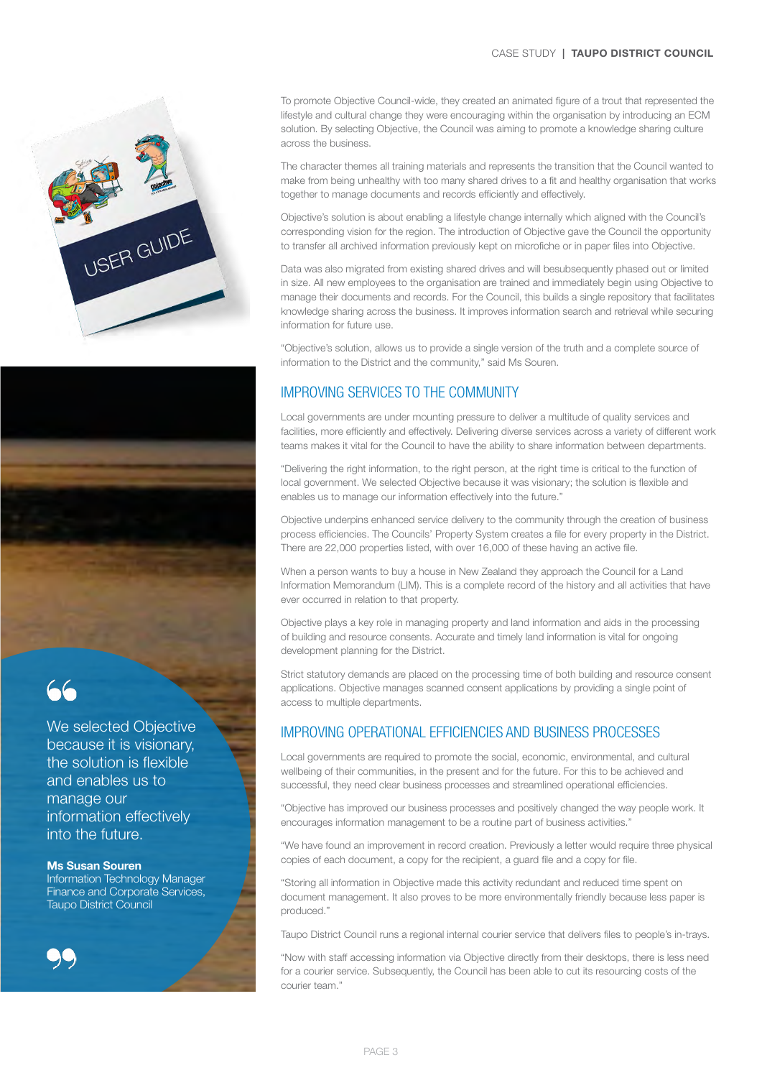#### CASE STUDY **| TAUPO DISTRICT COUNCIL**





We selected Objective because it is visionary, the solution is flexible and enables us to manage our information effectively into the future.

#### Ms Susan Souren

Information Technology Manager Finance and Corporate Services, Taupo District Council



To promote Objective Council-wide, they created an animated figure of a trout that represented the lifestyle and cultural change they were encouraging within the organisation by introducing an ECM solution. By selecting Objective, the Council was aiming to promote a knowledge sharing culture across the business.

The character themes all training materials and represents the transition that the Council wanted to make from being unhealthy with too many shared drives to a fit and healthy organisation that works together to manage documents and records efficiently and effectively.

Objective's solution is about enabling a lifestyle change internally which aligned with the Council's corresponding vision for the region. The introduction of Objective gave the Council the opportunity to transfer all archived information previously kept on microfiche or in paper files into Objective.

Data was also migrated from existing shared drives and will besubsequently phased out or limited in size. All new employees to the organisation are trained and immediately begin using Objective to manage their documents and records. For the Council, this builds a single repository that facilitates knowledge sharing across the business. It improves information search and retrieval while securing information for future use.

"Objective's solution, allows us to provide a single version of the truth and a complete source of information to the District and the community," said Ms Souren.

## IMPROVING SERVICES TO THE COMMUNITY

Local governments are under mounting pressure to deliver a multitude of quality services and facilities, more efficiently and effectively. Delivering diverse services across a variety of different work teams makes it vital for the Council to have the ability to share information between departments.

"Delivering the right information, to the right person, at the right time is critical to the function of local government. We selected Objective because it was visionary; the solution is flexible and enables us to manage our information effectively into the future."

Objective underpins enhanced service delivery to the community through the creation of business process efficiencies. The Councils' Property System creates a file for every property in the District. There are 22,000 properties listed, with over 16,000 of these having an active file.

When a person wants to buy a house in New Zealand they approach the Council for a Land Information Memorandum (LIM). This is a complete record of the history and all activities that have ever occurred in relation to that property.

Objective plays a key role in managing property and land information and aids in the processing of building and resource consents. Accurate and timely land information is vital for ongoing development planning for the District.

Strict statutory demands are placed on the processing time of both building and resource consent applications. Objective manages scanned consent applications by providing a single point of access to multiple departments.

### IMPROVING OPERATIONAL EFFICIENCIES AND BUSINESS PROCESSES

Local governments are required to promote the social, economic, environmental, and cultural wellbeing of their communities, in the present and for the future. For this to be achieved and successful, they need clear business processes and streamlined operational efficiencies.

"Objective has improved our business processes and positively changed the way people work. It encourages information management to be a routine part of business activities."

"We have found an improvement in record creation. Previously a letter would require three physical copies of each document, a copy for the recipient, a guard file and a copy for file.

"Storing all information in Objective made this activity redundant and reduced time spent on document management. It also proves to be more environmentally friendly because less paper is produced."

Taupo District Council runs a regional internal courier service that delivers files to people's in-trays.

"Now with staff accessing information via Objective directly from their desktops, there is less need for a courier service. Subsequently, the Council has been able to cut its resourcing costs of the courier team."